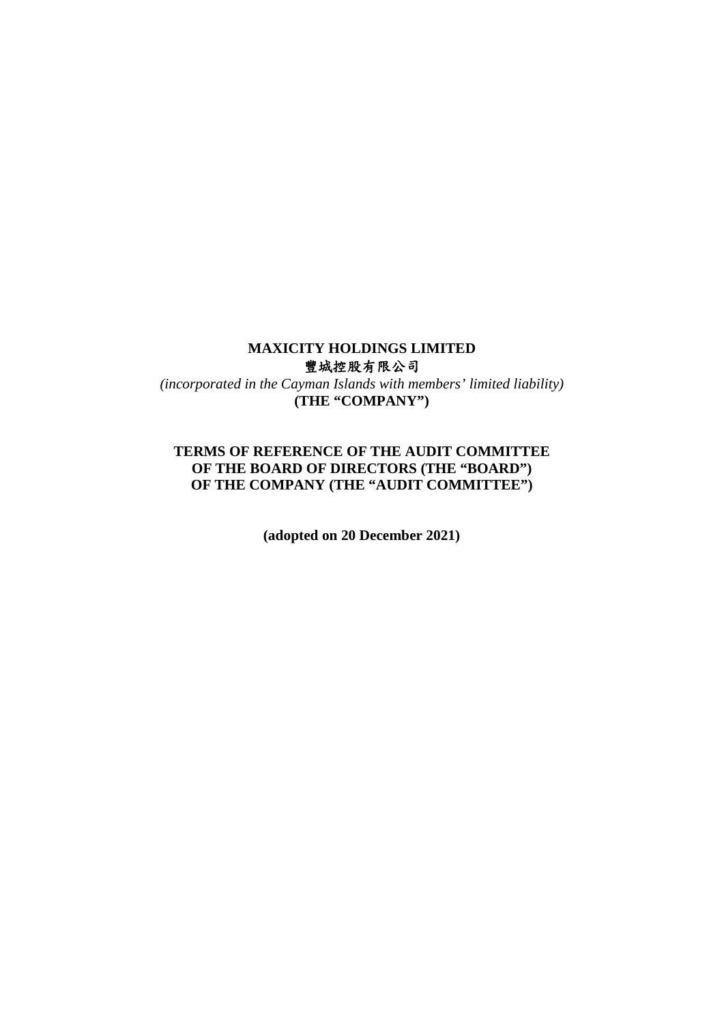## **MAXICITY HOLDINGS LIMITED**  豐城控股有限公司

*(incorporated in the Cayman Islands with members' limited liability)*  **(THE "COMPANY")** 

# **TERMS OF REFERENCE OF THE AUDIT COMMITTEE OF THE BOARD OF DIRECTORS (THE "BOARD") OF THE COMPANY (THE "AUDIT COMMITTEE")**

**(adopted on 20 December 2021)**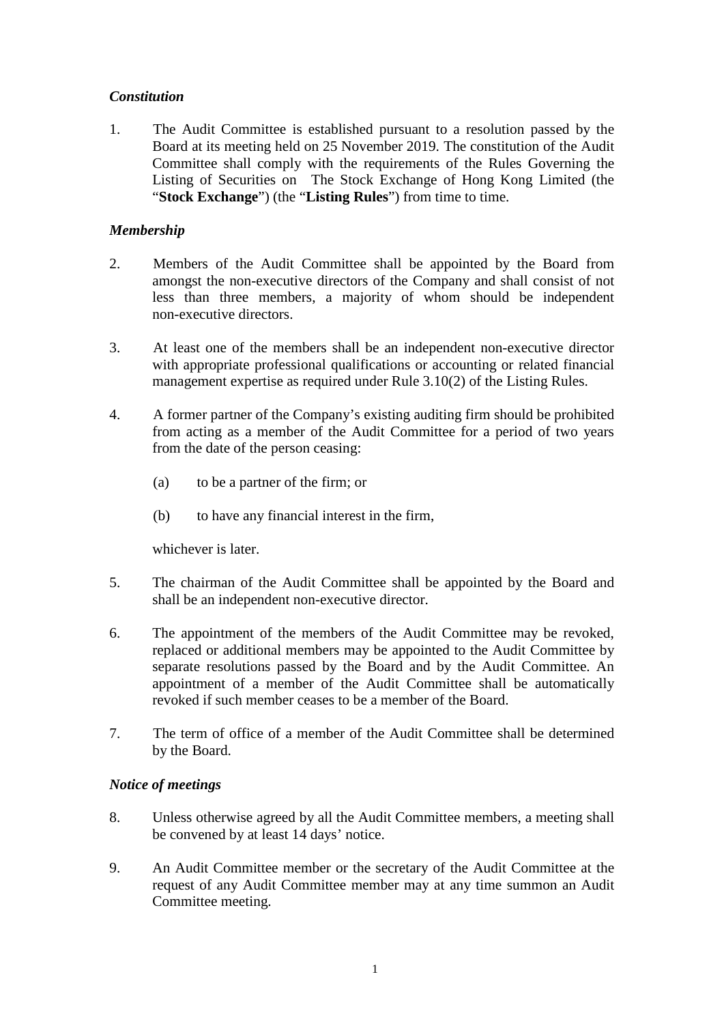# *Constitution*

1. The Audit Committee is established pursuant to a resolution passed by the Board at its meeting held on 25 November 2019. The constitution of the Audit Committee shall comply with the requirements of the Rules Governing the Listing of Securities on The Stock Exchange of Hong Kong Limited (the "**Stock Exchange**") (the "**Listing Rules**") from time to time.

# *Membership*

- 2. Members of the Audit Committee shall be appointed by the Board from amongst the non-executive directors of the Company and shall consist of not less than three members, a majority of whom should be independent non-executive directors.
- 3. At least one of the members shall be an independent non-executive director with appropriate professional qualifications or accounting or related financial management expertise as required under Rule 3.10(2) of the Listing Rules.
- 4. A former partner of the Company's existing auditing firm should be prohibited from acting as a member of the Audit Committee for a period of two years from the date of the person ceasing:
	- (a) to be a partner of the firm; or
	- (b) to have any financial interest in the firm,

whichever is later.

- 5. The chairman of the Audit Committee shall be appointed by the Board and shall be an independent non-executive director.
- 6. The appointment of the members of the Audit Committee may be revoked, replaced or additional members may be appointed to the Audit Committee by separate resolutions passed by the Board and by the Audit Committee. An appointment of a member of the Audit Committee shall be automatically revoked if such member ceases to be a member of the Board.
- 7. The term of office of a member of the Audit Committee shall be determined by the Board.

## *Notice of meetings*

- 8. Unless otherwise agreed by all the Audit Committee members, a meeting shall be convened by at least 14 days' notice.
- 9. An Audit Committee member or the secretary of the Audit Committee at the request of any Audit Committee member may at any time summon an Audit Committee meeting.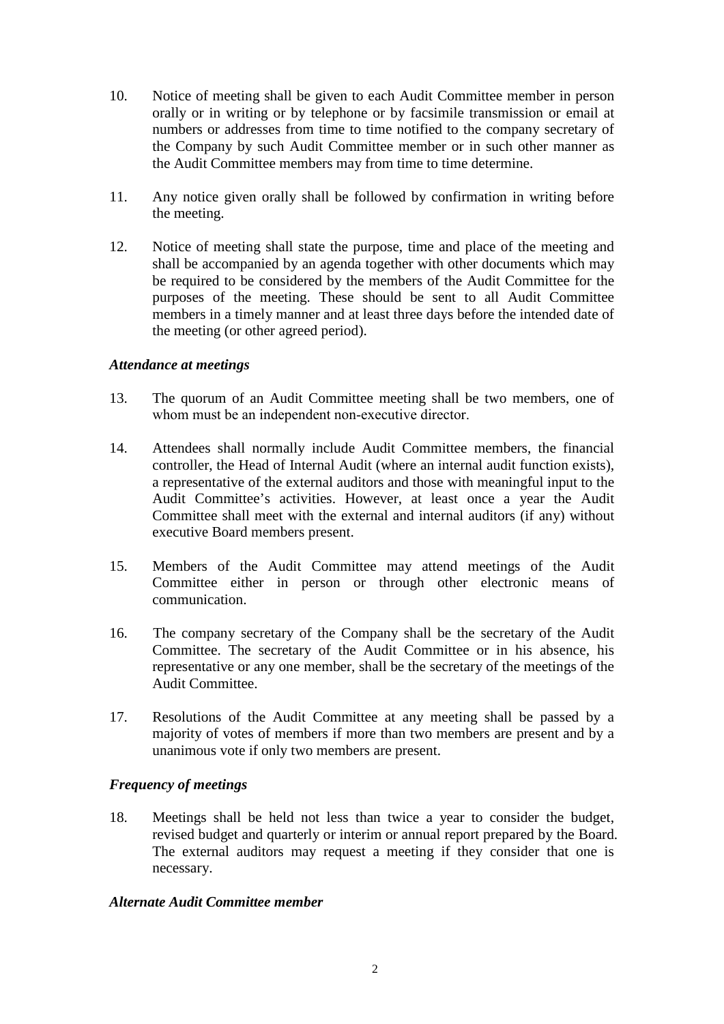- 10. Notice of meeting shall be given to each Audit Committee member in person orally or in writing or by telephone or by facsimile transmission or email at numbers or addresses from time to time notified to the company secretary of the Company by such Audit Committee member or in such other manner as the Audit Committee members may from time to time determine.
- 11. Any notice given orally shall be followed by confirmation in writing before the meeting.
- 12. Notice of meeting shall state the purpose, time and place of the meeting and shall be accompanied by an agenda together with other documents which may be required to be considered by the members of the Audit Committee for the purposes of the meeting. These should be sent to all Audit Committee members in a timely manner and at least three days before the intended date of the meeting (or other agreed period).

# *Attendance at meetings*

- 13. The quorum of an Audit Committee meeting shall be two members, one of whom must be an independent non-executive director.
- 14. Attendees shall normally include Audit Committee members, the financial controller, the Head of Internal Audit (where an internal audit function exists), a representative of the external auditors and those with meaningful input to the Audit Committee's activities. However, at least once a year the Audit Committee shall meet with the external and internal auditors (if any) without executive Board members present.
- 15. Members of the Audit Committee may attend meetings of the Audit Committee either in person or through other electronic means of communication.
- 16. The company secretary of the Company shall be the secretary of the Audit Committee. The secretary of the Audit Committee or in his absence, his representative or any one member, shall be the secretary of the meetings of the Audit Committee.
- 17. Resolutions of the Audit Committee at any meeting shall be passed by a majority of votes of members if more than two members are present and by a unanimous vote if only two members are present.

# *Frequency of meetings*

18. Meetings shall be held not less than twice a year to consider the budget, revised budget and quarterly or interim or annual report prepared by the Board. The external auditors may request a meeting if they consider that one is necessary.

## *Alternate Audit Committee member*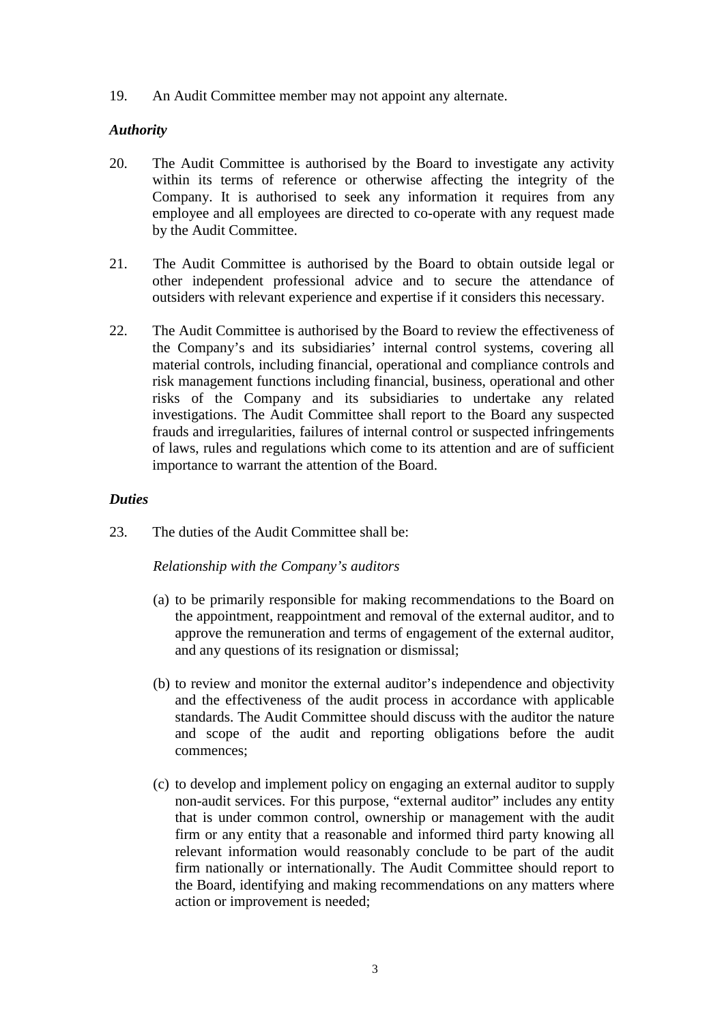19. An Audit Committee member may not appoint any alternate.

# *Authority*

- 20. The Audit Committee is authorised by the Board to investigate any activity within its terms of reference or otherwise affecting the integrity of the Company. It is authorised to seek any information it requires from any employee and all employees are directed to co-operate with any request made by the Audit Committee.
- 21. The Audit Committee is authorised by the Board to obtain outside legal or other independent professional advice and to secure the attendance of outsiders with relevant experience and expertise if it considers this necessary.
- 22. The Audit Committee is authorised by the Board to review the effectiveness of the Company's and its subsidiaries' internal control systems, covering all material controls, including financial, operational and compliance controls and risk management functions including financial, business, operational and other risks of the Company and its subsidiaries to undertake any related investigations. The Audit Committee shall report to the Board any suspected frauds and irregularities, failures of internal control or suspected infringements of laws, rules and regulations which come to its attention and are of sufficient importance to warrant the attention of the Board.

## *Duties*

23. The duties of the Audit Committee shall be:

## *Relationship with the Company's auditors*

- (a) to be primarily responsible for making recommendations to the Board on the appointment, reappointment and removal of the external auditor, and to approve the remuneration and terms of engagement of the external auditor, and any questions of its resignation or dismissal;
- (b) to review and monitor the external auditor's independence and objectivity and the effectiveness of the audit process in accordance with applicable standards. The Audit Committee should discuss with the auditor the nature and scope of the audit and reporting obligations before the audit commences;
- (c) to develop and implement policy on engaging an external auditor to supply non-audit services. For this purpose, "external auditor" includes any entity that is under common control, ownership or management with the audit firm or any entity that a reasonable and informed third party knowing all relevant information would reasonably conclude to be part of the audit firm nationally or internationally. The Audit Committee should report to the Board, identifying and making recommendations on any matters where action or improvement is needed;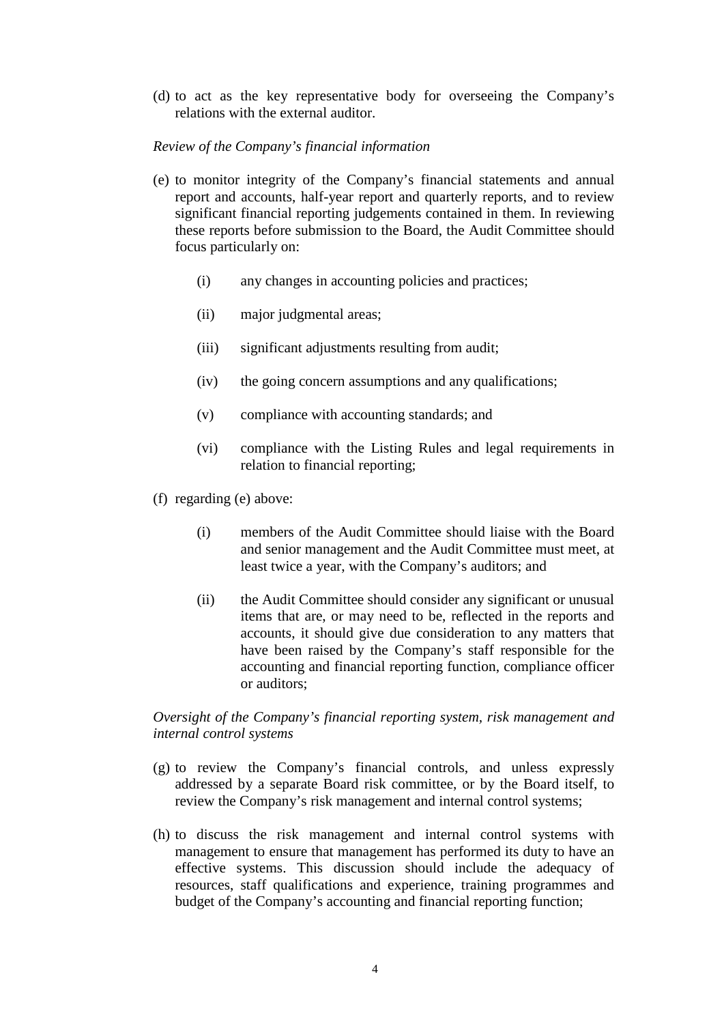(d) to act as the key representative body for overseeing the Company's relations with the external auditor.

#### *Review of the Company's financial information*

- (e) to monitor integrity of the Company's financial statements and annual report and accounts, half-year report and quarterly reports, and to review significant financial reporting judgements contained in them. In reviewing these reports before submission to the Board, the Audit Committee should focus particularly on:
	- (i) any changes in accounting policies and practices;
	- (ii) major judgmental areas;
	- (iii) significant adjustments resulting from audit;
	- (iv) the going concern assumptions and any qualifications;
	- (v) compliance with accounting standards; and
	- (vi) compliance with the Listing Rules and legal requirements in relation to financial reporting;
- (f) regarding (e) above:
	- (i) members of the Audit Committee should liaise with the Board and senior management and the Audit Committee must meet, at least twice a year, with the Company's auditors; and
	- (ii) the Audit Committee should consider any significant or unusual items that are, or may need to be, reflected in the reports and accounts, it should give due consideration to any matters that have been raised by the Company's staff responsible for the accounting and financial reporting function, compliance officer or auditors;

## *Oversight of the Company's financial reporting system, risk management and internal control systems*

- (g) to review the Company's financial controls, and unless expressly addressed by a separate Board risk committee, or by the Board itself, to review the Company's risk management and internal control systems;
- (h) to discuss the risk management and internal control systems with management to ensure that management has performed its duty to have an effective systems. This discussion should include the adequacy of resources, staff qualifications and experience, training programmes and budget of the Company's accounting and financial reporting function;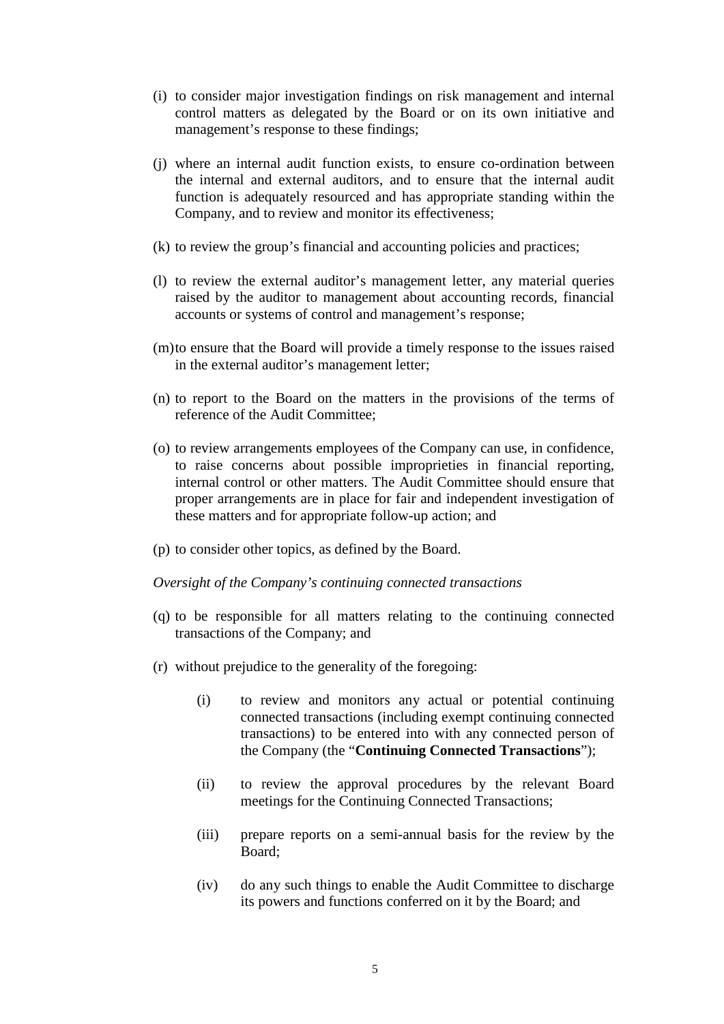- (i) to consider major investigation findings on risk management and internal control matters as delegated by the Board or on its own initiative and management's response to these findings;
- (j) where an internal audit function exists, to ensure co-ordination between the internal and external auditors, and to ensure that the internal audit function is adequately resourced and has appropriate standing within the Company, and to review and monitor its effectiveness;
- (k) to review the group's financial and accounting policies and practices;
- (l) to review the external auditor's management letter, any material queries raised by the auditor to management about accounting records, financial accounts or systems of control and management's response;
- (m)to ensure that the Board will provide a timely response to the issues raised in the external auditor's management letter;
- (n) to report to the Board on the matters in the provisions of the terms of reference of the Audit Committee;
- (o) to review arrangements employees of the Company can use, in confidence, to raise concerns about possible improprieties in financial reporting, internal control or other matters. The Audit Committee should ensure that proper arrangements are in place for fair and independent investigation of these matters and for appropriate follow-up action; and
- (p) to consider other topics, as defined by the Board.

*Oversight of the Company's continuing connected transactions* 

- (q) to be responsible for all matters relating to the continuing connected transactions of the Company; and
- (r) without prejudice to the generality of the foregoing:
	- (i) to review and monitors any actual or potential continuing connected transactions (including exempt continuing connected transactions) to be entered into with any connected person of the Company (the "**Continuing Connected Transactions**");
	- (ii) to review the approval procedures by the relevant Board meetings for the Continuing Connected Transactions;
	- (iii) prepare reports on a semi-annual basis for the review by the Board;
	- (iv) do any such things to enable the Audit Committee to discharge its powers and functions conferred on it by the Board; and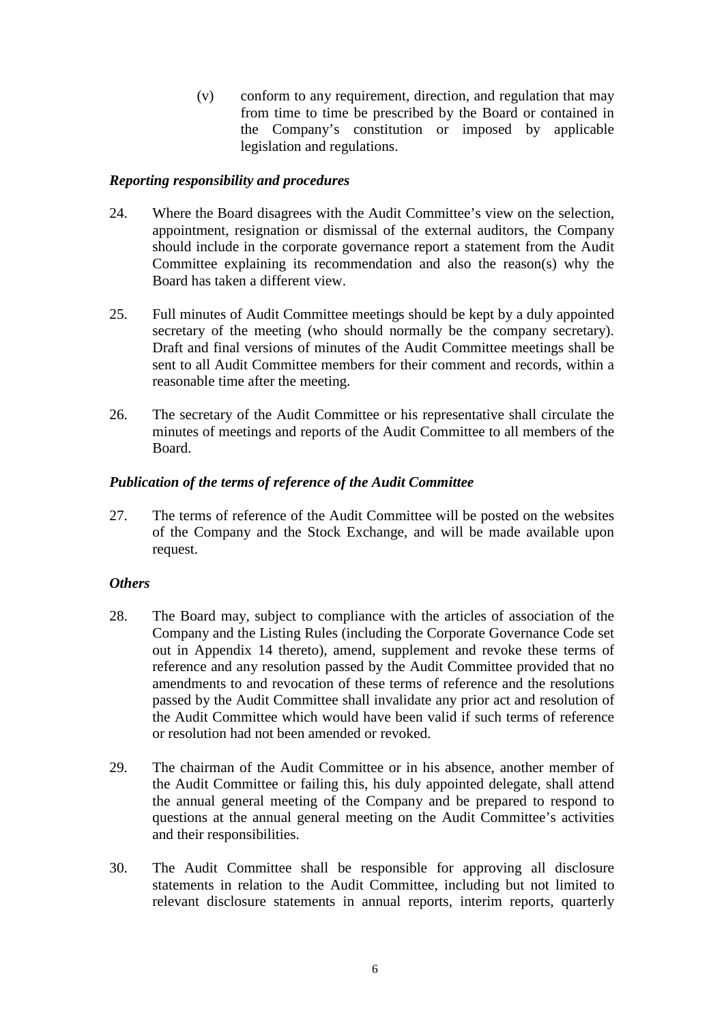(v) conform to any requirement, direction, and regulation that may from time to time be prescribed by the Board or contained in the Company's constitution or imposed by applicable legislation and regulations.

## *Reporting responsibility and procedures*

- 24. Where the Board disagrees with the Audit Committee's view on the selection, appointment, resignation or dismissal of the external auditors, the Company should include in the corporate governance report a statement from the Audit Committee explaining its recommendation and also the reason(s) why the Board has taken a different view.
- 25. Full minutes of Audit Committee meetings should be kept by a duly appointed secretary of the meeting (who should normally be the company secretary). Draft and final versions of minutes of the Audit Committee meetings shall be sent to all Audit Committee members for their comment and records, within a reasonable time after the meeting.
- 26. The secretary of the Audit Committee or his representative shall circulate the minutes of meetings and reports of the Audit Committee to all members of the Board.

# *Publication of the terms of reference of the Audit Committee*

27. The terms of reference of the Audit Committee will be posted on the websites of the Company and the Stock Exchange, and will be made available upon request.

## *Others*

- 28. The Board may, subject to compliance with the articles of association of the Company and the Listing Rules (including the Corporate Governance Code set out in Appendix 14 thereto), amend, supplement and revoke these terms of reference and any resolution passed by the Audit Committee provided that no amendments to and revocation of these terms of reference and the resolutions passed by the Audit Committee shall invalidate any prior act and resolution of the Audit Committee which would have been valid if such terms of reference or resolution had not been amended or revoked.
- 29. The chairman of the Audit Committee or in his absence, another member of the Audit Committee or failing this, his duly appointed delegate, shall attend the annual general meeting of the Company and be prepared to respond to questions at the annual general meeting on the Audit Committee's activities and their responsibilities.
- 30. The Audit Committee shall be responsible for approving all disclosure statements in relation to the Audit Committee, including but not limited to relevant disclosure statements in annual reports, interim reports, quarterly